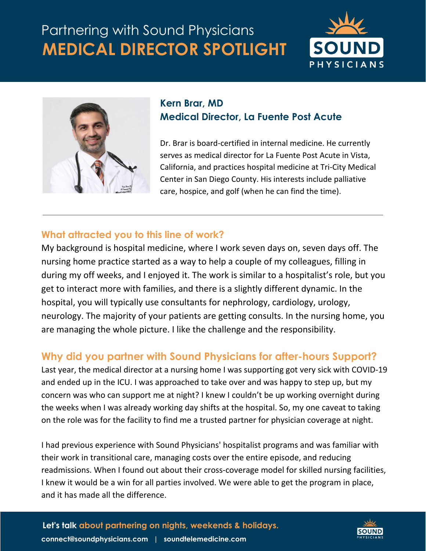# **MEDICAL DIRECTOR SPOTLIGHT** Partnering with Sound Physicians





## **Kern Brar, MD Medical Director, La Fuente Post Acute**

Dr. Brar is board-certified in internal medicine. He currently serves as medical director for La Fuente Post Acute in Vista, California, and practices hospital medicine at Tri-City Medical Center in San Diego County. His interests include palliative care, hospice, and golf (when he can find the time).

### **What attracted you to this line of work?**

My background is hospital medicine, where I work seven days on, seven days off. The nursing home practice started as a way to help a couple of my colleagues, filling in during my off weeks, and I enjoyed it. The work is similar to a hospitalist's role, but you get to interact more with families, and there is a slightly different dynamic. In the hospital, you will typically use consultants for nephrology, cardiology, urology, neurology. The majority of your patients are getting consults. In the nursing home, you are managing the whole picture. I like the challenge and the responsibility.

# **Why did you partner with Sound Physicians for after-hours Support?**

Last year, the medical director at a nursing home I was supporting got very sick with COVID-19 and ended up in the ICU. I was approached to take over and was happy to step up, but my concern was who can support me at night? I knew I couldn't be up working overnight during the weeks when I was already working day shifts at the hospital. So, my one caveat to taking on the role was for the facility to find me a trusted partner for physician coverage at night.

I had previous experience with Sound Physicians' hospitalist programs and was familiar with their work in transitional care, managing costs over the entire episode, and reducing readmissions. When I found out about their cross-coverage model for skilled nursing facilities, I knew it would be a win for all parties involved. We were able to get the program in place, and it has made all the difference.